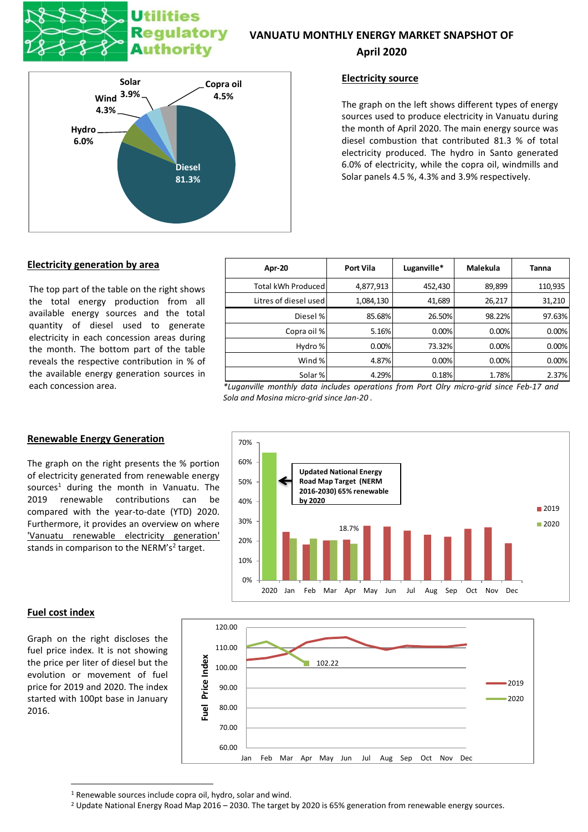# tilities latory Authority

### **VANUATU MONTHLY ENERGY MARKET SNAPSHOT OF**

#### **April 2020**



#### **Electricity source**

The graph on the left shows different types of energy sources used to produce electricity in Vanuatu during the month of April 2020. The main energy source was diesel combustion that contributed 81.3 % of total electricity produced. The hydro in Santo generated 6.0% of electricity, while the copra oil, windmills and Solar panels 4.5 %, 4.3% and 3.9% respectively.

#### **Electricity generation by area**

The top part of the table on the right shows the total energy production from all available energy sources and the total quantity of diesel used to generate electricity in each concession areas during the month. The bottom part of the table reveals the respective contribution in % of the available energy generation sources in

| Apr-20                | <b>Port Vila</b> | Luganville* | Malekula | Tanna   |
|-----------------------|------------------|-------------|----------|---------|
| Total kWh Produced    | 4,877,913        | 452,430     | 89,899   | 110,935 |
| Litres of diesel used | 1,084,130        | 41,689      | 26,217   | 31,210  |
| Diesel %              | 85.68%           | 26.50%      | 98.22%   | 97.63%  |
| Copra oil %           | 5.16%            | 0.00%       | 0.00%    | 0.00%   |
| Hydro %               | 0.00%            | 73.32%      | 0.00%    | 0.00%   |
| Wind %                | 4.87%            | 0.00%       | 0.00%    | 0.00%   |
| Solar %               | 4.29%            | 0.18%       | 1.78%    | 2.37%   |

each concession area. *\*Luganville monthly data includes operations from Port Olry micro-grid since Feb-17 and Sola and Mosina micro-grid since Jan-20 .*



# **Renewable Energy Generation**

The graph on the right presents the % portion of electricity generated from renewable energy sources<sup>1</sup> during the month in Vanuatu. The 2019 renewable contributions can be compared with the year-to-date (YTD) 2020. Furthermore, it provides an overview on where 'Vanuatu renewable electricity generation' stands in comparison to the NERM's<sup>2</sup> target.

#### **Fuel cost index**

Graph on the right discloses the fuel price index. It is not showing the price per liter of diesel but the evolution or movement of fuel price for 2019 and 2020. The index started with 100pt base in January 2016.



<sup>&</sup>lt;sup>1</sup> Renewable sources include copra oil, hydro, solar and wind.

<sup>&</sup>lt;sup>2</sup> Update National Energy Road Map 2016 – 2030. The target by 2020 is 65% generation from renewable energy sources.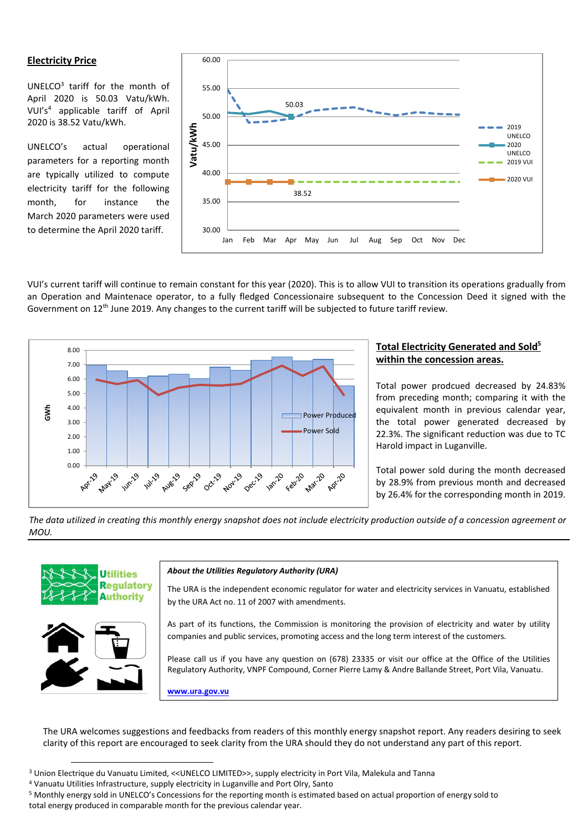#### **Electricity Price**

UNELCO<sup>3</sup> tariff for the month of April 2020 is 50.03 Vatu/kWh. VUI's<sup>4</sup> applicable tariff of April 2020 is 38.52 Vatu/kWh.

UNELCO's actual operational parameters for a reporting month are typically utilized to compute electricity tariff for the following month, for instance the March 2020 parameters were used to determine the April 2020 tariff.



VUI's current tariff will continue to remain constant for this year (2020). This is to allow VUI to transition its operations gradually from an Operation and Maintenace operator, to a fully fledged Concessionaire subsequent to the Concession Deed it signed with the Government on  $12<sup>th</sup>$  June 2019. Any changes to the current tariff will be subjected to future tariff review.



#### **Total Electricity Generated and Sold<sup>5</sup> within the concession areas.**

Total power prodcued decreased by 24.83% from preceding month; comparing it with the equivalent month in previous calendar year, the total power generated decreased by 22.3%. The significant reduction was due to TC Harold impact in Luganville.

Total power sold during the month decreased by 28.9% from previous month and decreased by 26.4% for the corresponding month in 2019.

*The data utilized in creating this monthly energy snapshot does not include electricity production outside of a concession agreement or MOU.*



The URA welcomes suggestions and feedbacks from readers of this monthly energy snapshot report. Any readers desiring to seek clarity of this report are encouraged to seek clarity from the URA should they do not understand any part of this report.

<sup>3</sup> Union Electrique du Vanuatu Limited, <<UNELCO LIMITED>>, supply electricity in Port Vila, Malekula and Tanna

<sup>4</sup> Vanuatu Utilities Infrastructure, supply electricity in Luganville and Port Olry, Santo

<sup>5</sup> Monthly energy sold in UNELCO's Concessions for the reporting month is estimated based on actual proportion of energy sold to total energy produced in comparable month for the previous calendar year.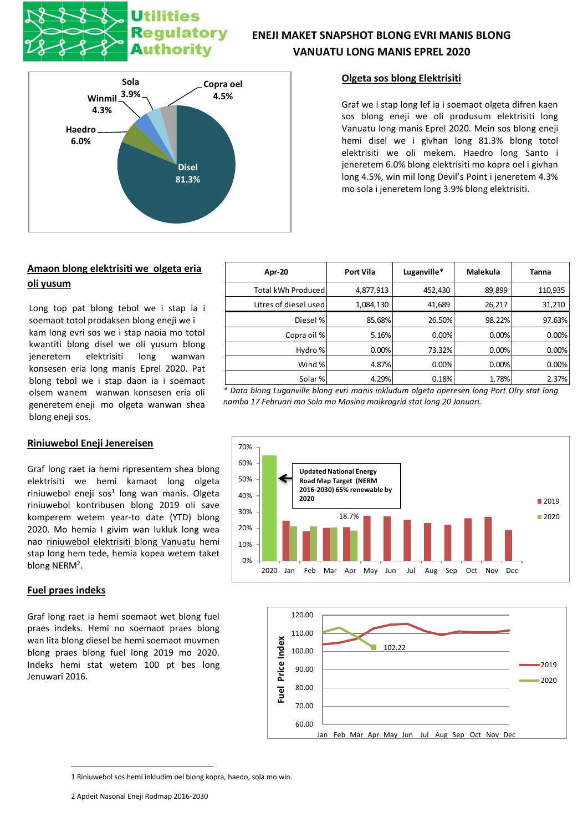# latory **Authority**



# **ENEJI MAKET SNAPSHOT BLONG EVRI MANIS BLONG VANUATU LONG MANIS EPREL 2020**

#### **Olgeta sos blong Elektrisiti**

Graf we i stap long lef ia i soemaot olgeta difren kaen sos blong eneji we oli produsum elektrisiti long Vanuatu long manis Eprel 2020. Mein sos blong eneji hemi disel we i givhan long 81.3% blong totol elektrisiti we oli mekem. Haedro long Santo i jeneretem 6.0% blong elektrisiti mo kopra oel i givhan long 4.5%, win mil long Devil's Point i jeneretem 4.3% mo sola i jeneretem long 3.9% blong elektrisiti.

## **Amaon blong elektrisiti we olgeta eria oli yusum**

Long top pat blong tebol we i stap ia i soemaot totol prodaksen blong eneji we i kam long evri sos we i stap naoia mo totol kwantiti blong disel we oli yusum blong jeneretem elektrisiti long wanwan konsesen eria long manis Eprel 2020. Pat blong tebol we i stap daon ia i soemaot olsem wanem wanwan konsesen eria oli generetem eneji mo olgeta wanwan shea blong eneji sos.

| Riniuwebol Eneji Jenereisen |
|-----------------------------|
|                             |

Graf long raet ia hemi ripresentem shea blong elektrisiti we hemi kamaot long olgeta riniuwebol eneji sos<sup>1</sup> long wan manis. Olgeta riniuwebol kontribusen blong 2019 oli save komperem wetem year-to date (YTD) blong 2020. Mo hemia I givim wan lukluk long wea nao riniuwebol elektrisiti blong Vanuatu hemi stap long hem tede, hemia kopea wetem taket blong NERM<sup>2</sup>.

#### **Fuel praes indeks**

Graf long raet ia hemi soemaot wet blong fuel praes indeks. Hemi no soemaot praes blong wan lita blong diesel be hemi soemaot muvmen blong praes blong fuel long 2019 mo 2020. Indeks hemi stat wetem 100 pt bes long Jenuwari 2016.

| Apr-20                    | <b>Port Vila</b> | Luganville* | Malekula | <b>Tanna</b> |
|---------------------------|------------------|-------------|----------|--------------|
| <b>Total kWh Produced</b> | 4,877,913        | 452,430     | 89,899   | 110,935      |
| Litres of diesel used     | 1,084,130        | 41,689      | 26,217   | 31,210       |
| Diesel %                  | 85.68%           | 26.50%      | 98.22%   | 97.63%       |
| Copra oil %               | 5.16%            | 0.00%       | 0.00%    | 0.00%        |
| Hydro %                   | 0.00%            | 73.32%      | 0.00%    | 0.00%        |
| Wind %                    | 4.87%            | 0.00%       | 0.00%    | 0.00%        |
| Solar %                   | 4.29%            | 0.18%       | 1.78%    | 2.37%        |

*\* Data blong Luganville blong evri manis inkludum olgeta operesen long Port Olry stat long namba 17 Februari mo Sola mo Mosina maikrogrid stat long 20 Januari.*





<sup>1</sup> Riniuwebol sos hemi inkludim oel blong kopra, haedo, sola mo win.

<sup>2</sup> Apdeit Nasonal Eneji Rodmap 2016-2030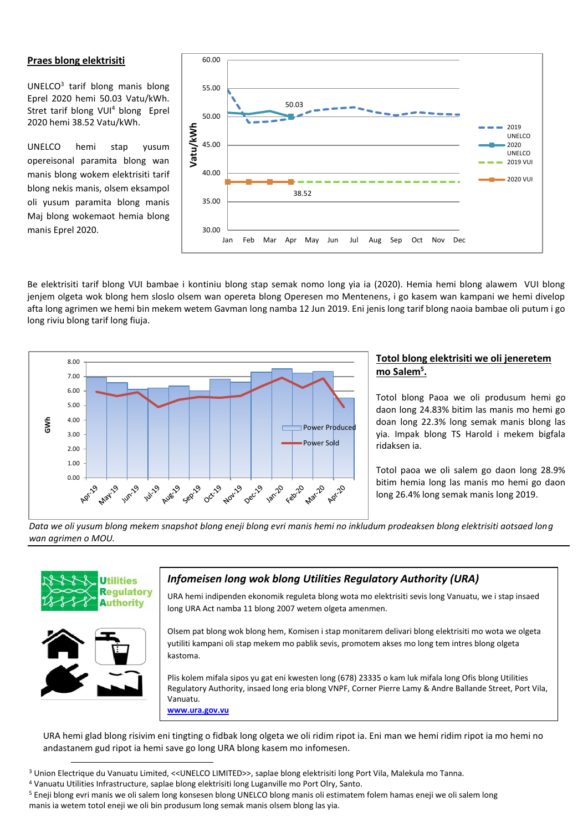#### **Praes blong elektrisiti**

UNELCO<sup>3</sup> tarif blong manis blong Eprel 2020 hemi 50.03 Vatu/kWh. Stret tarif blong VUI<sup>4</sup> blong Eprel 2020 hemi 38.52 Vatu/kWh.

UNELCO hemi stap yusum opereisonal paramita blong wan manis blong wokem elektrisiti tarif blong nekis manis, olsem eksampol oli yusum paramita blong manis Maj blong wokemaot hemia blong manis Eprel 2020.



Be elektrisiti tarif blong VUI bambae i kontiniu blong stap semak nomo long yia ia (2020). Hemia hemi blong alawem VUI blong jenjem olgeta wok blong hem sloslo olsem wan opereta blong Operesen mo Mentenens, i go kasem wan kampani we hemi divelop afta long agrimen we hemi bin mekem wetem Gavman long namba 12 Jun 2019. Eni jenis long tarif blong naoia bambae oli putum i go long riviu blong tarif long fiuja.



#### **Totol blong elektrisiti we oli jeneretem mo Salem<sup>5</sup> .**

Totol blong Paoa we oli produsum hemi go daon long 24.83% bitim las manis mo hemi go doan long 22.3% long semak manis blong las yia. Impak blong TS Harold i mekem bigfala ridaksen ia.

Totol paoa we oli salem go daon long 28.9% bitim hemia long las manis mo hemi go daon long 26.4% long semak manis long 2019.

*Data we oli yusum blong mekem snapshot blong eneji blong evri manis hemi no inkludum prodeaksen blong elektrisiti aotsaed long wan agrimen o MOU.*





## *Infomeisen long wok blong Utilities Regulatory Authority (URA)*

URA hemi indipenden ekonomik reguleta blong wota mo elektrisiti sevis long Vanuatu, we i stap insaed long URA Act namba 11 blong 2007 wetem olgeta amenmen.

Olsem pat blong wok blong hem, Komisen i stap monitarem delivari blong elektrisiti mo wota we olgeta yutiliti kampani oli stap mekem mo pablik sevis, promotem akses mo long tem intres blong olgeta kastoma.

Plis kolem mifala sipos yu gat eni kwesten long (678) 23335 o kam luk mifala long Ofis blong Utilities Regulatory Authority, insaed long eria blong VNPF, Corner Pierre Lamy & Andre Ballande Street, Port Vila, Vanuatu. **www.ura.gov.vu**

URA hemi glad blong risivim eni tingting o fidbak long olgeta we oli ridim ripot ia. Eni man we hemi ridim ripot ia mo hemi no andastanem gud ripot ia hemi save go long URA blong kasem mo infomesen.

<sup>3</sup> Union Electrique du Vanuatu Limited, <<UNELCO LIMITED>>, saplae blong elektrisiti long Port Vila, Malekula mo Tanna.

<sup>5</sup> Eneji blong evri manis we oli salem long konsesen blong UNELCO blong manis oli estimatem folem hamas eneji we oli salem long manis ia wetem totol eneji we oli bin produsum long semak manis olsem blong las yia.

<sup>4</sup> Vanuatu Utilities Infrastructure, saplae blong elektrisiti long Luganville mo Port Olry, Santo.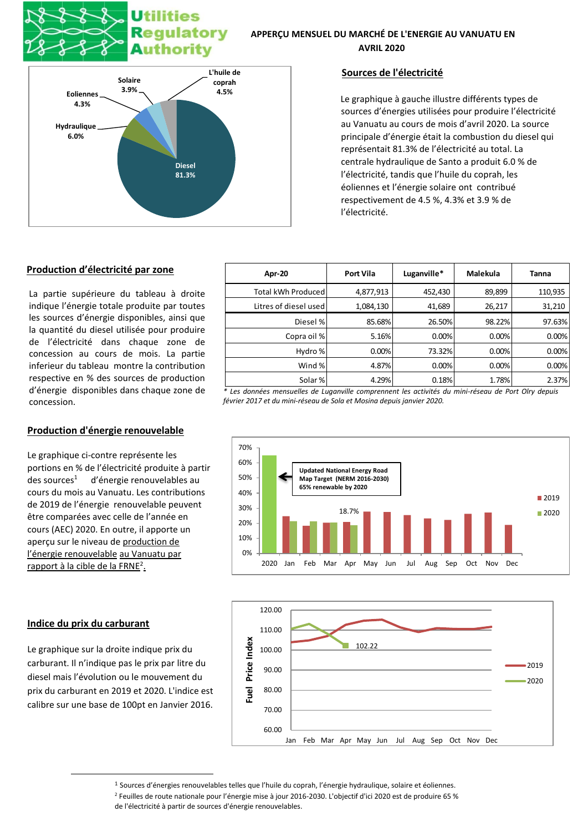# tilities latory Authority

#### **APPERÇU MENSUEL DU MARCHÉ DE L'ENERGIE AU VANUATU EN AVRIL 2020**



#### **Sources de l'électricité**

Le graphique à gauche illustre différents types de sources d'énergies utilisées pour produire l'électricité au Vanuatu au cours de mois d'avril 2020. La source principale d'énergie était la combustion du diesel qui représentait 81.3% de l'électricité au total. La centrale hydraulique de Santo a produit 6.0 % de l'électricité, tandis que l'huile du coprah, les éoliennes et l'énergie solaire ont contribué respectivement de 4.5 %, 4.3% et 3.9 % de l'électricité.

#### **Production d'électricité par zone**

La partie supérieure du tableau à droite indique l'énergie totale produite par toutes les sources d'énergie disponibles, ainsi que la quantité du diesel utilisée pour produire de l'électricité dans chaque zone de concession au cours de mois. La partie inferieur du tableau montre la contribution respective en % des sources de production d'énergie disponibles dans chaque zone de concession.

#### **Production d'énergie renouvelable**

Le graphique ci-contre représente les portions en % de l'électricité produite à partir des sources<sup>1</sup> d'énergie renouvelables au cours du mois au Vanuatu. Les contributions de 2019 de l'énergie renouvelable peuvent être comparées avec celle de l'année en cours (AEC) 2020. En outre, il apporte un aperçu sur le niveau de production de l'énergie renouvelable au Vanuatu par rapport à la cible de la FRNE<sup>2</sup>.

#### **Indice du prix du carburant**

Le graphique sur la droite indique prix du carburant. Il n'indique pas le prix par litre du diesel mais l'évolution ou le mouvement du prix du carburant en 2019 et 2020. L'indice est calibre sur une base de 100pt en Janvier 2016.

| Apr-20                | <b>Port Vila</b> | Luganville* | Malekula | Tanna   |
|-----------------------|------------------|-------------|----------|---------|
| Total kWh Produced    | 4,877,913        | 452,430     | 89,899   | 110,935 |
| Litres of diesel used | 1,084,130        | 41,689      | 26,217   | 31,210  |
| Diesel %              | 85.68%           | 26.50%      | 98.22%   | 97.63%  |
| Copra oil %           | 5.16%            | 0.00%       | 0.00%    | 0.00%   |
| Hydro %               | 0.00%            | 73.32%      | 0.00%    | 0.00%   |
| Wind %                | 4.87%            | 0.00%       | 0.00%    | 0.00%   |
| Solar %               | 4.29%            | 0.18%       | 1.78%    | 2.37%   |

*\* Les données mensuelles de Luganville comprennent les activités du mini-réseau de Port Olry depuis février 2017 et du mini-réseau de Sola et Mosina depuis janvier 2020.*





<sup>1</sup> Sources d'énergies renouvelables telles que l'huile du coprah, l'énergie hydraulique, solaire et éoliennes. <sup>2</sup> Feuilles de route nationale pour l'énergie mise à jour 2016-2030. L'objectif d'ici 2020 est de produire 65 % de l'électricité à partir de sources d'énergie renouvelables.